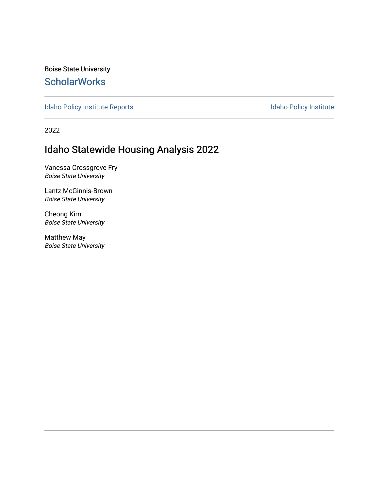Boise State University **ScholarWorks** 

[Idaho Policy Institute Reports](https://scholarworks.boisestate.edu/ipi_reports) **Idaho Policy Institute** 

2022

#### Idaho Statewide Housing Analysis 2022

Vanessa Crossgrove Fry Boise State University

Lantz McGinnis-Brown Boise State University

Cheong Kim Boise State University

Matthew May Boise State University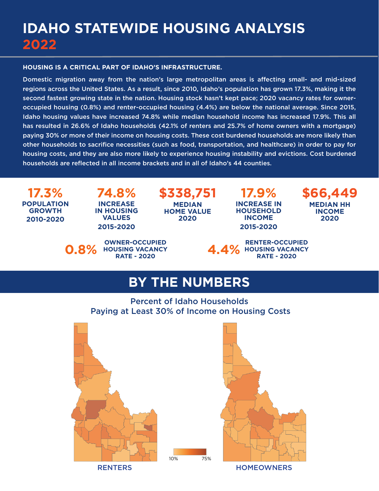# **IDAHO STATEWIDE HOUSING ANALYSIS 2022**

#### **HOUSING IS A CRITICAL PART OF IDAHO'S INFRASTRUCTURE.**

Domestic migration away from the nation's large metropolitan areas is affecting small- and mid-sized regions across the United States. As a result, since 2010, Idaho's population has grown 17.3%, making it the second fastest growing state in the nation. Housing stock hasn't kept pace; 2020 vacancy rates for owneroccupied housing (0.8%) and renter-occupied housing (4.4%) are below the national average. Since 2015, Idaho housing values have increased 74.8% while median household income has increased 17.9%. This all has resulted in 26.6% of Idaho households (42.1% of renters and 25.7% of home owners with a mortgage) paying 30% or more of their income on housing costs. These cost burdened households are more likely than other households to sacrifice necessities (such as food, transportation, and healthcare) in order to pay for housing costs, and they are also more likely to experience housing instability and evictions. Cost burdened households are reflected in all income brackets and in all of Idaho's 44 counties.

**17.3% POPULATION GROWTH 2010-2020**

**74.8% INCREASE IN HOUSING VALUES 2015-2020**

**\$338,751 MEDIAN HOME VALUE 2020**

**17.9% INCREASE IN HOUSEHOLD INCOME 2015-2020**

**\$66,449 MEDIAN HH INCOME 2020**





# **BY THE NUMBERS**

Percent of Idaho Households Paying at Least 30% of Income on Housing Costs





RENTERS HOMEOWNERS